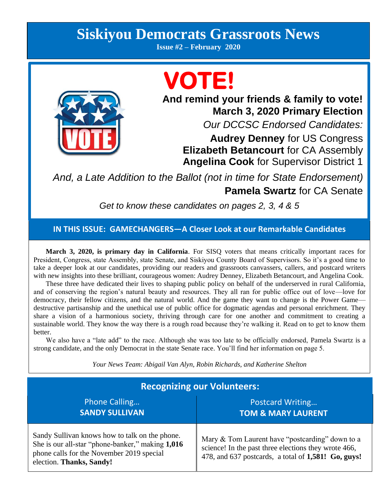## **Siskiyou Democrats Grassroots News**

**Issue #2 – February 2020**



# **VOTE!**

**And remind your friends & family to vote! March 3, 2020 Primary Election** *Our DCCSC Endorsed Candidates:* **Audrey Denney** for US Congress **Elizabeth Betancourt** for CA Assembly **Angelina Cook** for Supervisor District 1

*And, a Late Addition to the Ballot (not in time for State Endorsement)* **Pamela Swartz** for CA Senate

*Get to know these candidates on pages 2, 3, 4 & 5*

**IN THIS ISSUE: GAMECHANGERS—A Closer Look at our Remarkable Candidates**

 **March 3, 2020, is primary day in California**. For SISQ voters that means critically important races for President, Congress, state Assembly, state Senate, and Siskiyou County Board of Supervisors. So it's a good time to take a deeper look at our candidates, providing our readers and grassroots canvassers, callers, and postcard writers with new insights into these brilliant, courageous women: Audrey Denney, Elizabeth Betancourt, and Angelina Cook.

 These three have dedicated their lives to shaping public policy on behalf of the underserved in rural California, and of conserving the region's natural beauty and resources. They all ran for public office out of love—love for democracy, their fellow citizens, and the natural world. And the game they want to change is the Power Game destructive partisanship and the unethical use of public office for dogmatic agendas and personal enrichment. They share a vision of a harmonious society, thriving through care for one another and commitment to creating a sustainable world. They know the way there is a rough road because they're walking it. Read on to get to know them better.

 We also have a "late add" to the race. Although she was too late to be officially endorsed, Pamela Swartz is a strong candidate, and the only Democrat in the state Senate race. You'll find her information on page 5.

| <b>Recognizing our Volunteers:</b>                                                                                                                                          |                                                                                                                                                                |
|-----------------------------------------------------------------------------------------------------------------------------------------------------------------------------|----------------------------------------------------------------------------------------------------------------------------------------------------------------|
| Phone Calling<br><b>SANDY SULLIVAN</b>                                                                                                                                      | <b>Postcard Writing</b><br><b>TOM &amp; MARY LAURENT</b>                                                                                                       |
| Sandy Sullivan knows how to talk on the phone.<br>She is our all-star "phone-banker," making 1,016<br>phone calls for the November 2019 special<br>election. Thanks, Sandy! | Mary & Tom Laurent have "postcarding" down to a<br>science! In the past three elections they wrote 466,<br>478, and 637 postcards, a total of 1,581! Go, guys! |

*Your News Team: Abigail Van Alyn, Robin Richards, and Katherine Shelton*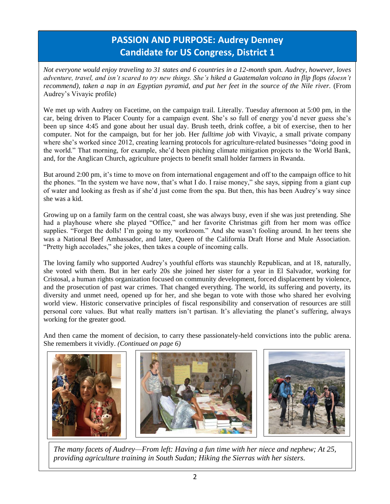## **PASSION AND PURPOSE: Audrey Denney Candidate for US Congress, District 1**

*Not everyone would enjoy traveling to 31 states and 6 countries in a 12-month span. Audrey, however, loves adventure, travel, and isn't scared to try new things. She's hiked a Guatemalan volcano in flip flops (doesn't recommend), taken a nap in an Egyptian pyramid, and put her feet in the source of the Nile river.* (From Audrey's Vivayic profile)

We met up with Audrey on Facetime, on the campaign trail. Literally. Tuesday afternoon at 5:00 pm, in the car, being driven to Placer County for a campaign event. She's so full of energy you'd never guess she's been up since 4:45 and gone about her usual day. Brush teeth, drink coffee, a bit of exercise, then to her computer. Not for the campaign, but for her job. Her *fulltime job* with Vivayic, a small private company where she's worked since 2012, creating learning protocols for agriculture-related businesses "doing good in the world." That morning, for example, she'd been pitching climate mitigation projects to the World Bank, and, for the Anglican Church, agriculture projects to benefit small holder farmers in Rwanda.

But around 2:00 pm, it's time to move on from international engagement and off to the campaign office to hit the phones. "In the system we have now, that's what I do. I raise money," she says, sipping from a giant cup of water and looking as fresh as if she'd just come from the spa. But then, this has been Audrey's way since she was a kid.

Growing up on a family farm on the central coast, she was always busy, even if she was just pretending. She had a playhouse where she played "Office," and her favorite Christmas gift from her mom was office supplies. "Forget the dolls! I'm going to my workroom." And she wasn't fooling around. In her teens she was a National Beef Ambassador, and later, Queen of the California Draft Horse and Mule Association. "Pretty high accolades," she jokes, then takes a couple of incoming calls.

The loving family who supported Audrey's youthful efforts was staunchly Republican, and at 18, naturally, she voted with them. But in her early 20s she joined her sister for a year in El Salvador, working for Cristosal, a human rights organization focused on community development, forced displacement by violence, and the prosecution of past war crimes. That changed everything. The world, its suffering and poverty, its diversity and unmet need, opened up for her, and she began to vote with those who shared her evolving world view. Historic conservative principles of fiscal responsibility and conservation of resources are still personal core values. But what really matters isn't partisan. It's alleviating the planet's suffering, always working for the greater good.

And then came the moment of decision, to carry these passionately-held convictions into the public arena. She remembers it vividly. *(Continued on page 6)*







*The many facets of Audrey—From left: Having a fun time with her niece and nephew; At 25, providing agriculture training in South Sudan; Hiking the Sierras with her sisters.*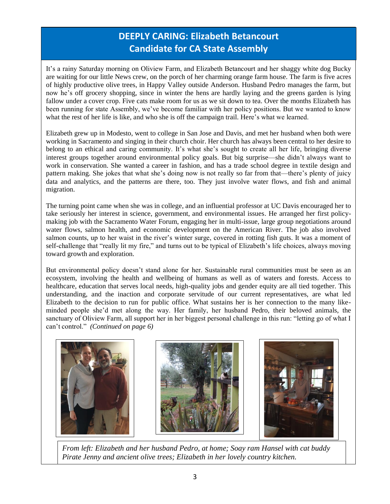## **DEEPLY CARING: Elizabeth Betancourt Candidate for CA State Assembly**

It's a rainy Saturday morning on Oliview Farm, and Elizabeth Betancourt and her shaggy white dog Bucky are waiting for our little News crew, on the porch of her charming orange farm house. The farm is five acres of highly productive olive trees, in Happy Valley outside Anderson. Husband Pedro manages the farm, but now he's off grocery shopping, since in winter the hens are hardly laying and the greens garden is lying fallow under a cover crop. Five cats make room for us as we sit down to tea. Over the months Elizabeth has been running for state Assembly, we've become familiar with her policy positions. But we wanted to know what the rest of her life is like, and who she is off the campaign trail. Here's what we learned.

Elizabeth grew up in Modesto, went to college in San Jose and Davis, and met her husband when both were working in Sacramento and singing in their church choir. Her church has always been central to her desire to belong to an ethical and caring community. It's what she's sought to create all her life, bringing diverse interest groups together around environmental policy goals. But big surprise—she didn't always want to work in conservation. She wanted a career in fashion, and has a trade school degree in textile design and pattern making. She jokes that what she's doing now is not really so far from that—there's plenty of juicy data and analytics, and the patterns are there, too. They just involve water flows, and fish and animal migration.

The turning point came when she was in college, and an influential professor at UC Davis encouraged her to take seriously her interest in science, government, and environmental issues. He arranged her first policymaking job with the Sacramento Water Forum, engaging her in multi-issue, large group negotiations around water flows, salmon health, and economic development on the American River. The job also involved salmon counts, up to her waist in the river's winter surge, covered in rotting fish guts. It was a moment of self-challenge that "really lit my fire," and turns out to be typical of Elizabeth's life choices, always moving toward growth and exploration.

But environmental policy doesn't stand alone for her. Sustainable rural communities must be seen as an ecosystem, involving the health and wellbeing of humans as well as of waters and forests. Access to healthcare, education that serves local needs, high-quality jobs and gender equity are all tied together. This understanding, and the inaction and corporate servitude of our current representatives, are what led Elizabeth to the decision to run for public office. What sustains her is her connection to the many likeminded people she'd met along the way. Her family, her husband Pedro, their beloved animals, the sanctuary of Oliview Farm, all support her in her biggest personal challenge in this run: "letting go of what I can't control." *(Continued on page 6)*







*From left: Elizabeth and her husband Pedro, at home; Soay ram Hansel with cat buddy Pirate Jenny and ancient olive trees; Elizabeth in her lovely country kitchen.*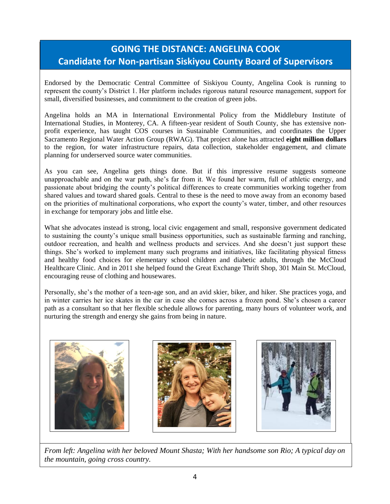### **GOING THE DISTANCE: ANGELINA COOK Candidate for Non-partisan Siskiyou County Board of Supervisors**

Endorsed by the Democratic Central Committee of Siskiyou County, Angelina Cook is running to represent the county's District 1. Her platform includes rigorous natural resource management, support for small, diversified businesses, and commitment to the creation of green jobs.

Angelina holds an MA in International Environmental Policy from the Middlebury Institute of International Studies, in Monterey, CA. A fifteen-year resident of South County, she has extensive nonprofit experience, has taught COS courses in Sustainable Communities, and coordinates the Upper Sacramento Regional Water Action Group (RWAG). That project alone has attracted **eight million dollars** to the region, for water infrastructure repairs, data collection, stakeholder engagement, and climate planning for underserved source water communities.

As you can see, Angelina gets things done. But if this impressive resume suggests someone unapproachable and on the war path, she's far from it. We found her warm, full of athletic energy, and passionate about bridging the county's political differences to create communities working together from shared values and toward shared goals. Central to these is the need to move away from an economy based on the priorities of multinational corporations, who export the county's water, timber, and other resources in exchange for temporary jobs and little else.

What she advocates instead is strong, local civic engagement and small, responsive government dedicated to sustaining the county's unique small business opportunities, such as sustainable farming and ranching, outdoor recreation, and health and wellness products and services. And she doesn't just support these things. She's worked to implement many such programs and initiatives, like facilitating physical fitness and healthy food choices for elementary school children and diabetic adults, through the McCloud Healthcare Clinic. And in 2011 she helped found the Great Exchange Thrift Shop, 301 Main St. McCloud, encouraging reuse of clothing and housewares.

Personally, she's the mother of a teen-age son, and an avid skier, biker, and hiker. She practices yoga, and in winter carries her ice skates in the car in case she comes across a frozen pond. She's chosen a career path as a consultant so that her flexible schedule allows for parenting, many hours of volunteer work, and nurturing the strength and energy she gains from being in nature.



*cross-country skiing*





*From left: Angelina with her beloved Mount Shasta; With her handsome son Rio; A typical day on the mountain, going cross country.*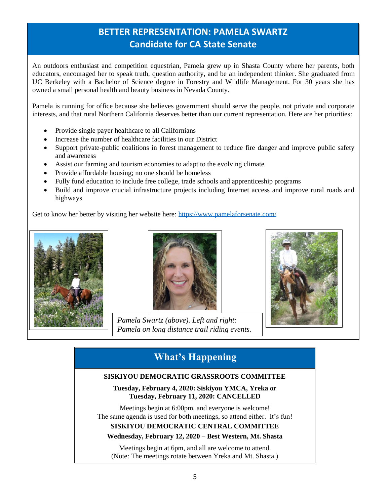## **BETTER REPRESENTATION: PAMELA SWARTZ Candidate for CA State Senate**

An outdoors enthusiast and competition equestrian, Pamela grew up in Shasta County where her parents, both educators, encouraged her to speak truth, question authority, and be an independent thinker. She graduated from UC Berkeley with a Bachelor of Science degree in Forestry and Wildlife Management. For 30 years she has owned a small personal health and beauty business in Nevada County.

Pamela is running for office because she believes government should serve the people, not private and corporate interests, and that rural Northern California deserves better than our current representation. Here are her priorities:

- Provide single payer healthcare to all Californians
- Increase the number of healthcare facilities in our District
- Support private-public coalitions in forest management to reduce fire danger and improve public safety and awareness
- Assist our farming and tourism economies to adapt to the evolving climate
- Provide affordable housing; no one should be homeless
- Fully fund education to include free college, trade schools and apprenticeship programs
- Build and improve crucial infrastructure projects including Internet access and improve rural roads and highways

Get to know her better by visiting her website here:<https://www.pamelaforsenate.com/>





*Pamela Swartz (above). Left and right: Pamela on long distance trail riding events.*



## **What's Happening**

#### **SISKIYOU DEMOCRATIC GRASSROOTS COMMITTEE**

**Tuesday, February 4, 2020: Siskiyou YMCA, Yreka or Tuesday, February 11, 2020: CANCELLED**

Meetings begin at 6:00pm, and everyone is welcome! The same agenda is used for both meetings, so attend either. It's fun!

#### **SISKIYOU DEMOCRATIC CENTRAL COMMITTEE**

**Wednesday, February 12, 2020 – Best Western, Mt. Shasta** 

Meetings begin at 6pm, and all are welcome to attend. (Note: The meetings rotate between Yreka and Mt. Shasta.)